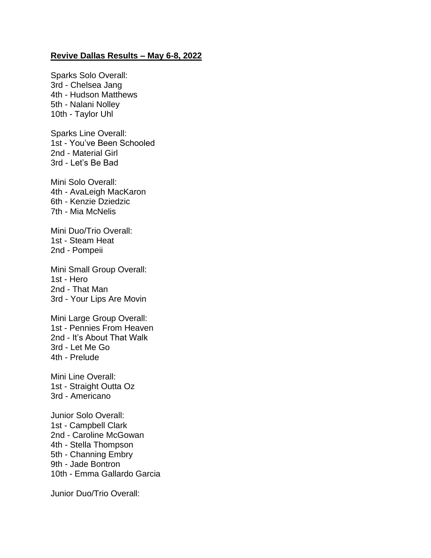## **Revive Dallas Results – May 6-8, 2022**

Sparks Solo Overall: 3rd - Chelsea Jang 4th - Hudson Matthews 5th - Nalani Nolley 10th - Taylor Uhl

Sparks Line Overall: 1st - You've Been Schooled 2nd - Material Girl 3rd - Let's Be Bad

Mini Solo Overall: 4th - AvaLeigh MacKaron 6th - Kenzie Dziedzic 7th - Mia McNelis

Mini Duo/Trio Overall: 1st - Steam Heat 2nd - Pompeii

Mini Small Group Overall: 1st - Hero 2nd - That Man 3rd - Your Lips Are Movin

Mini Large Group Overall: 1st - Pennies From Heaven 2nd - It's About That Walk 3rd - Let Me Go 4th - Prelude

Mini Line Overall: 1st - Straight Outta Oz 3rd - Americano

Junior Solo Overall: 1st - Campbell Clark 2nd - Caroline McGowan 4th - Stella Thompson 5th - Channing Embry 9th - Jade Bontron 10th - Emma Gallardo Garcia

Junior Duo/Trio Overall: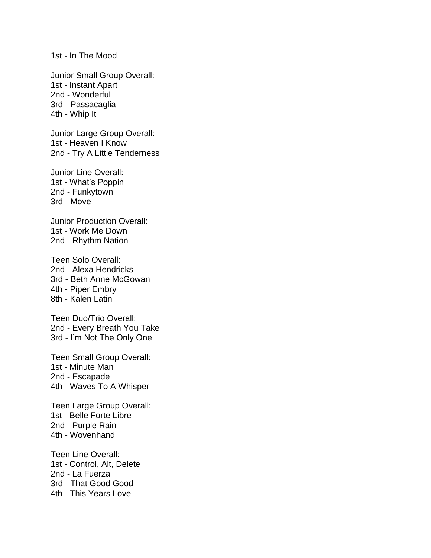1st - In The Mood

Junior Small Group Overall: 1st - Instant Apart 2nd - Wonderful 3rd - Passacaglia 4th - Whip It

Junior Large Group Overall: 1st - Heaven I Know 2nd - Try A Little Tenderness

Junior Line Overall: 1st - What's Poppin 2nd - Funkytown 3rd - Move

Junior Production Overall: 1st - Work Me Down 2nd - Rhythm Nation

Teen Solo Overall: 2nd - Alexa Hendricks 3rd - Beth Anne McGowan 4th - Piper Embry 8th - Kalen Latin

Teen Duo/Trio Overall: 2nd - Every Breath You Take 3rd - I'm Not The Only One

Teen Small Group Overall: 1st - Minute Man 2nd - Escapade 4th - Waves To A Whisper

Teen Large Group Overall: 1st - Belle Forte Libre 2nd - Purple Rain 4th - Wovenhand

Teen Line Overall: 1st - Control, Alt, Delete 2nd - La Fuerza 3rd - That Good Good 4th - This Years Love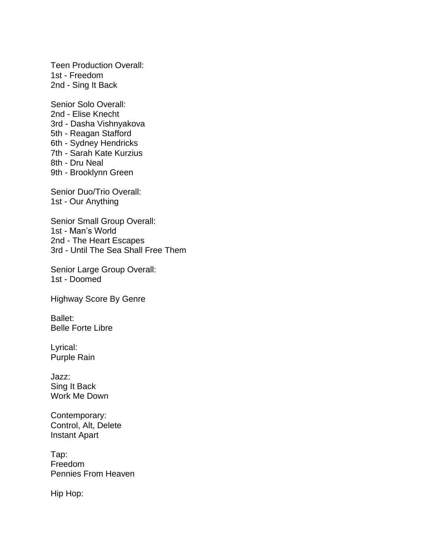Teen Production Overall: 1st - Freedom 2nd - Sing It Back

Senior Solo Overall: 2nd - Elise Knecht 3rd - Dasha Vishnyakova 5th - Reagan Stafford 6th - Sydney Hendricks 7th - Sarah Kate Kurzius 8th - Dru Neal 9th - Brooklynn Green

Senior Duo/Trio Overall: 1st - Our Anything

Senior Small Group Overall: 1st - Man's World 2nd - The Heart Escapes 3rd - Until The Sea Shall Free Them

Senior Large Group Overall: 1st - Doomed

Highway Score By Genre

Ballet: Belle Forte Libre

Lyrical: Purple Rain

Jazz: Sing It Back Work Me Down

Contemporary: Control, Alt, Delete Instant Apart

Tap: Freedom Pennies From Heaven

Hip Hop: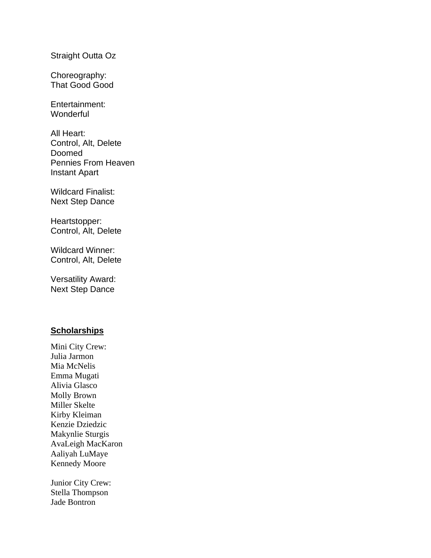Straight Outta Oz

Choreography: That Good Good

Entertainment: **Wonderful** 

All Heart: Control, Alt, Delete Doomed Pennies From Heaven Instant Apart

Wildcard Finalist: Next Step Dance

Heartstopper: Control, Alt, Delete

Wildcard Winner: Control, Alt, Delete

Versatility Award: Next Step Dance

## **Scholarships**

Mini City Crew: Julia Jarmon Mia McNelis Emma Mugati Alivia Glasco Molly Brown Miller Skelte Kirby Kleiman Kenzie Dziedzic Makynlie Sturgis AvaLeigh MacKaron Aaliyah LuMaye Kennedy Moore

Junior City Crew: Stella Thompson Jade Bontron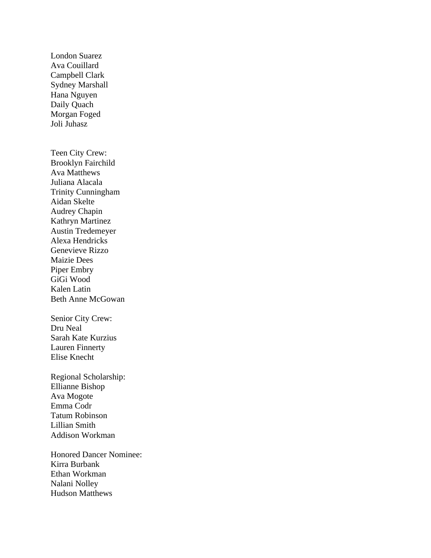London Suarez Ava Couillard Campbell Clark Sydney Marshall Hana Nguyen Daily Quach Morgan Foged Joli Juhasz Teen City Crew: Brooklyn Fairchild Ava Matthews Juliana Alacala Trinity Cunningham Aidan Skelte Audrey Chapin Kathryn Martinez Austin Tredemeyer Alexa Hendricks Genevieve Rizzo Maizie Dees Piper Embry GiGi Wood Kalen Latin Beth Anne McGowan Senior City Crew: Dru Neal Sarah Kate Kurzius Lauren Finnerty Elise Knecht Regional Scholarship: Ellianne Bishop Ava Mogote Emma Codr Tatum Robinson Lillian Smith Addison Workman Honored Dancer Nominee: Kirra Burbank Ethan Workman Nalani Nolley

Hudson Matthews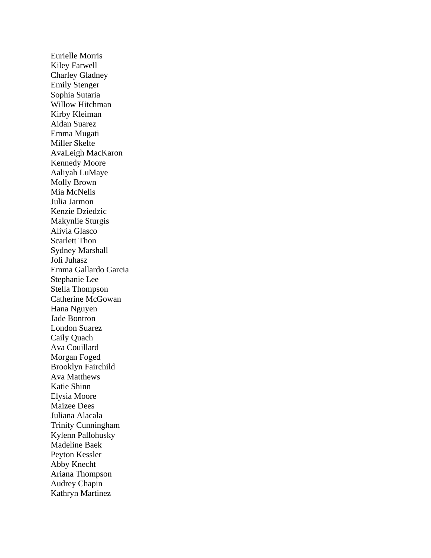Eurielle Morris Kiley Farwell Charley Gladney Emily Stenger Sophia Sutaria Willow Hitchman Kirby Kleiman Aidan Suarez Emma Mugati Miller Skelte AvaLeigh MacKaron Kennedy Moore Aaliyah LuMaye Molly Brown Mia McNelis Julia Jarmon Kenzie Dziedzic Makynlie Sturgis Alivia Glasco Scarlett Thon Sydney Marshall Joli Juhasz Emma Gallardo Garcia Stephanie Lee Stella Thompson Catherine McGowan Hana Nguyen Jade Bontron London Suarez Caily Quach Ava Couillard Morgan Foged Brooklyn Fairchild Ava Matthews Katie Shinn Elysia Moore Maizee Dees Juliana Alacala Trinity Cunningham Kylenn Pallohusky Madeline Baek Peyton Kessler Abby Knecht Ariana Thompson Audrey Chapin Kathryn Martinez